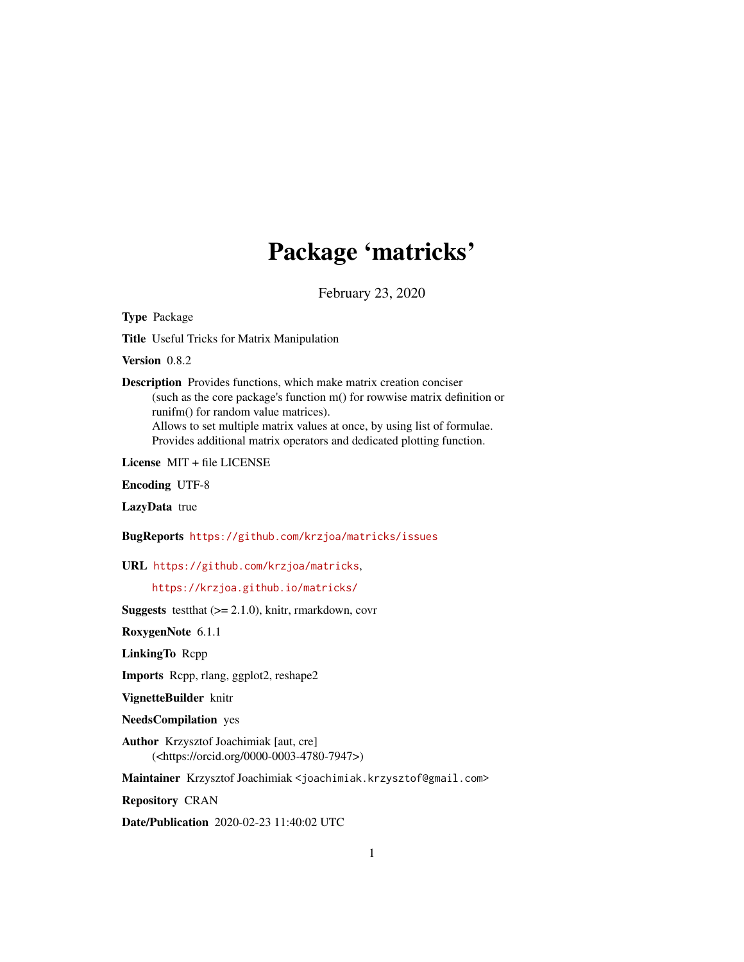## Package 'matricks'

February 23, 2020

Type Package

Title Useful Tricks for Matrix Manipulation

Version 0.8.2

Description Provides functions, which make matrix creation conciser (such as the core package's function m() for rowwise matrix definition or runifm() for random value matrices). Allows to set multiple matrix values at once, by using list of formulae. Provides additional matrix operators and dedicated plotting function.

License MIT + file LICENSE

Encoding UTF-8

LazyData true

BugReports <https://github.com/krzjoa/matricks/issues>

URL <https://github.com/krzjoa/matricks>,

<https://krzjoa.github.io/matricks/>

**Suggests** testthat  $(>= 2.1.0)$ , knitr, rmarkdown, covr

RoxygenNote 6.1.1

LinkingTo Rcpp

Imports Rcpp, rlang, ggplot2, reshape2

VignetteBuilder knitr

NeedsCompilation yes

Author Krzysztof Joachimiak [aut, cre] (<https://orcid.org/0000-0003-4780-7947>)

Maintainer Krzysztof Joachimiak <joachimiak.krzysztof@gmail.com>

Repository CRAN

Date/Publication 2020-02-23 11:40:02 UTC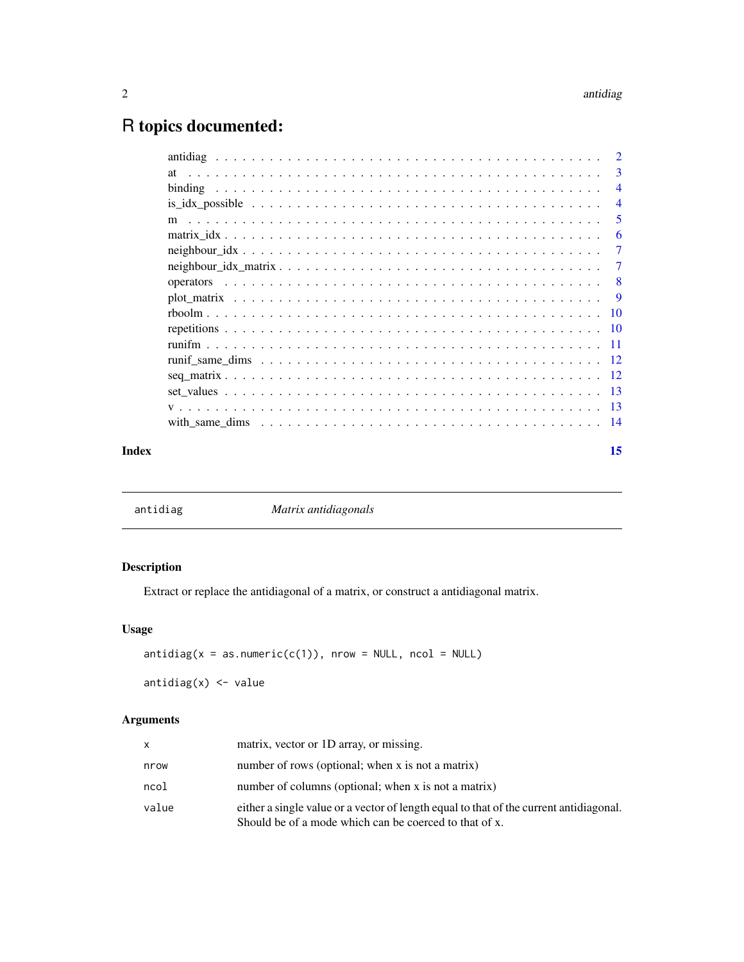### <span id="page-1-0"></span>R topics documented:

| Index |                                                                                                             | 15             |
|-------|-------------------------------------------------------------------------------------------------------------|----------------|
|       | with same dims $\ldots \ldots \ldots \ldots \ldots \ldots \ldots \ldots \ldots \ldots \ldots \ldots \ldots$ |                |
|       |                                                                                                             |                |
|       |                                                                                                             |                |
|       |                                                                                                             |                |
|       |                                                                                                             |                |
|       |                                                                                                             |                |
|       |                                                                                                             |                |
|       |                                                                                                             |                |
|       |                                                                                                             | -9             |
|       |                                                                                                             | -8             |
|       |                                                                                                             | $\overline{7}$ |
|       |                                                                                                             | 7              |
|       |                                                                                                             | 6              |
|       |                                                                                                             | 5              |
|       |                                                                                                             | $\overline{4}$ |
|       |                                                                                                             | $\overline{4}$ |
|       | at                                                                                                          | 3              |
|       |                                                                                                             | $\overline{2}$ |

|  | antidiag |  |
|--|----------|--|
|  |          |  |

ag *Matrix antidiagonals* 

### Description

Extract or replace the antidiagonal of a matrix, or construct a antidiagonal matrix.

### Usage

```
antidiag(x = as.numeric(c(1)), nrow = NULL, ncol = NULL)
```
antidiag $(x)$  <- value

### Arguments

| x     | matrix, vector or 1D array, or missing.                                                                                                          |
|-------|--------------------------------------------------------------------------------------------------------------------------------------------------|
| nrow  | number of rows (optional; when x is not a matrix)                                                                                                |
| ncol  | number of columns (optional; when x is not a matrix)                                                                                             |
| value | either a single value or a vector of length equal to that of the current antidiagonal.<br>Should be of a mode which can be coerced to that of x. |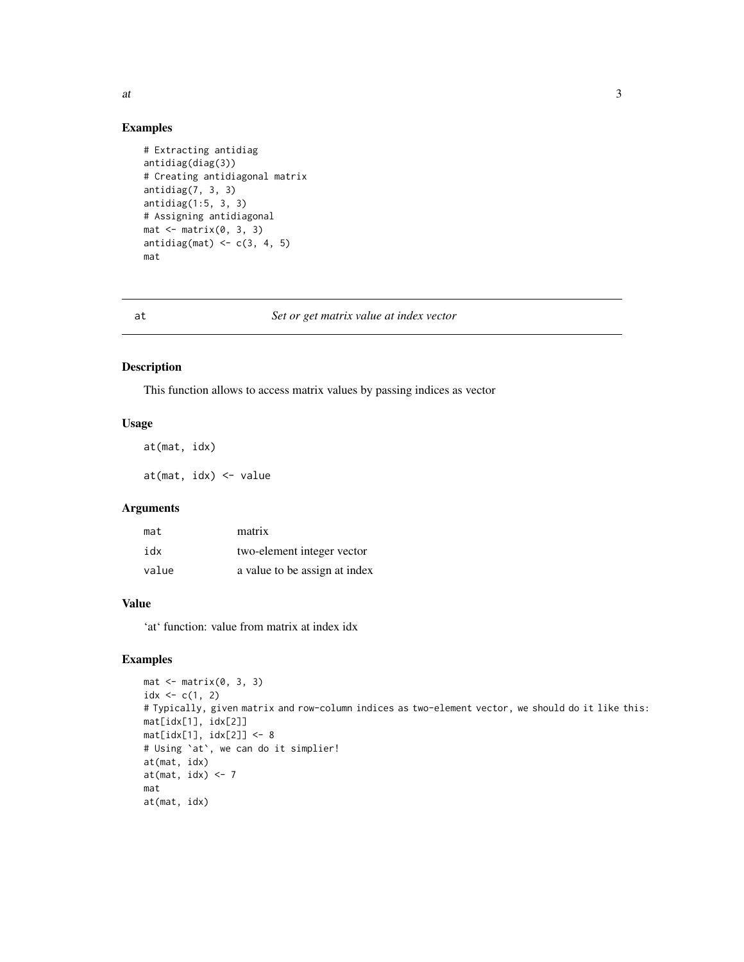#### Examples

```
# Extracting antidiag
antidiag(diag(3))
# Creating antidiagonal matrix
antidiag(7, 3, 3)
antidiag(1:5, 3, 3)
# Assigning antidiagonal
mat < -matrix(0, 3, 3)antidiag(mat) <-c(3, 4, 5)mat
```
at *Set or get matrix value at index vector*

#### Description

This function allows to access matrix values by passing indices as vector

#### Usage

at(mat, idx) at(mat, idx) <- value

#### Arguments

| mat   | matrix                        |
|-------|-------------------------------|
| idx   | two-element integer vector    |
| value | a value to be assign at index |

#### Value

'at' function: value from matrix at index idx

#### Examples

```
mat <- matrix(0, 3, 3)
idx < -c(1, 2)# Typically, given matrix and row-column indices as two-element vector, we should do it like this:
mat[idx[1], idx[2]]
mat[idx[1], idx[2]] <- 8
# Using `at`, we can do it simplier!
at(mat, idx)
at(mat, idx) <- 7
mat
at(mat, idx)
```
<span id="page-2-0"></span>at  $\frac{3}{3}$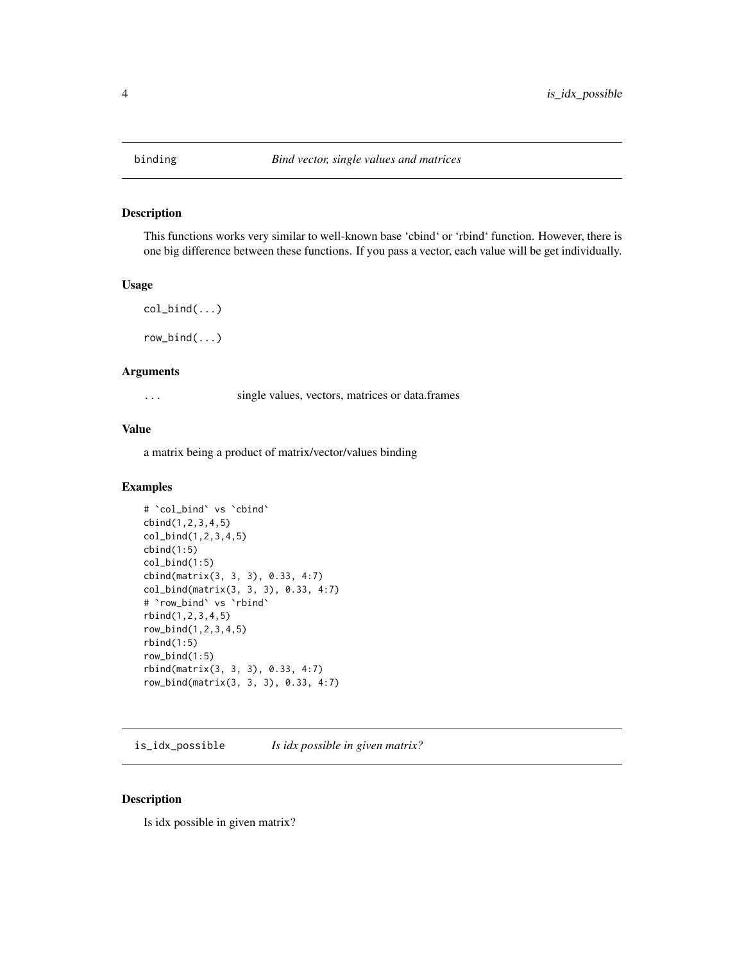<span id="page-3-0"></span>

This functions works very similar to well-known base 'cbind' or 'rbind' function. However, there is one big difference between these functions. If you pass a vector, each value will be get individually.

#### Usage

```
col\_bind(...)
```
row\_bind(...)

#### Arguments

... single values, vectors, matrices or data.frames

#### Value

a matrix being a product of matrix/vector/values binding

#### Examples

```
# `col_bind` vs `cbind`
cbind(1,2,3,4,5)
col_bind(1,2,3,4,5)
cbind(1:5)col\_bind(1:5)cbind(matrix(3, 3, 3), 0.33, 4:7)
col_bind(matrix(3, 3, 3), 0.33, 4:7)
# `row_bind` vs `rbind`
rbind(1,2,3,4,5)
row_bind(1,2,3,4,5)
rbind(1:5)row_bind(1:5)
rbind(matrix(3, 3, 3), 0.33, 4:7)
row_bind(matrix(3, 3, 3), 0.33, 4:7)
```
is\_idx\_possible *Is idx possible in given matrix?*

#### Description

Is idx possible in given matrix?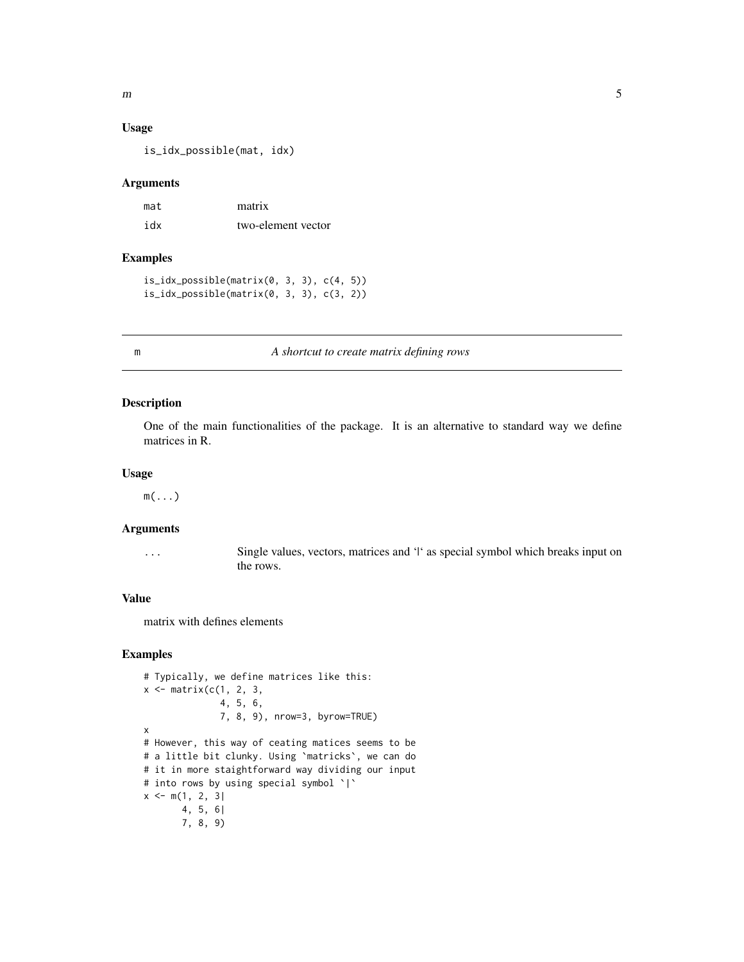#### Usage

is\_idx\_possible(mat, idx)

#### Arguments

| mat | matrix             |
|-----|--------------------|
| idx | two-element vector |

#### Examples

is\_idx\_possible(matrix(0, 3, 3), c(4, 5)) is\_idx\_possible(matrix(0, 3, 3), c(3, 2))

#### m *A shortcut to create matrix defining rows*

#### Description

One of the main functionalities of the package. It is an alternative to standard way we define matrices in R.

#### Usage

 $m(\ldots)$ 

#### Arguments

... Single values, vectors, matrices and '|' as special symbol which breaks input on the rows.

#### Value

matrix with defines elements

#### Examples

```
# Typically, we define matrices like this:
x \leftarrow \text{matrix}(c(1, 2, 3,4, 5, 6,
              7, 8, 9), nrow=3, byrow=TRUE)
x
# However, this way of ceating matices seems to be
# a little bit clunky. Using `matricks`, we can do
# it in more staightforward way dividing our input
# into rows by using special symbol `|`
x \leq m(1, 2, 3)4, 5, 6|
       7, 8, 9)
```
<span id="page-4-0"></span> $m \hspace{2.5cm}$  5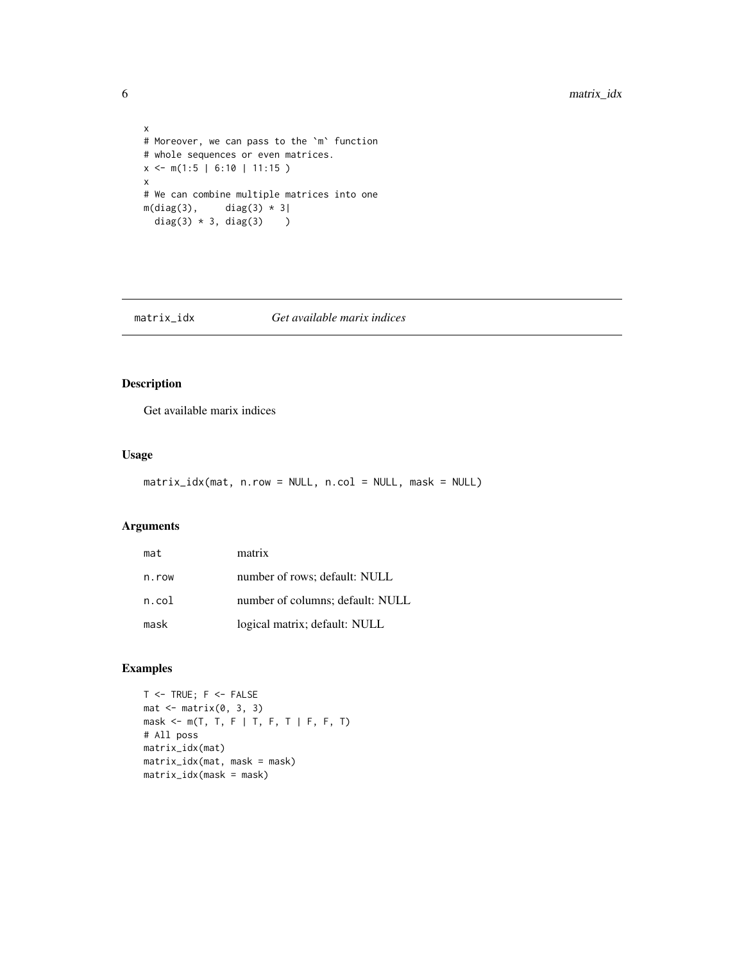```
x
# Moreover, we can pass to the `m` function
# whole sequences or even matrices.
x \leq -m(1:5 \mid 6:10 \mid 11:15)x
# We can combine multiple matrices into one
m(diag(3), \quad diag(3) * 3)diag(3) * 3, diag(3) )
```
#### matrix\_idx *Get available marix indices*

#### Description

Get available marix indices

#### Usage

```
matrix_idx(mat, n.row = NULL, n.col = NULL, mask = NULL)
```
#### Arguments

| mat   | matrix                           |
|-------|----------------------------------|
| n.row | number of rows; default: NULL    |
| n.col | number of columns; default: NULL |
| mask  | logical matrix; default: NULL    |

### Examples

```
T <- TRUE; F <- FALSEmat < -matrix(0, 3, 3)mask <- m(T, T, F | T, F, T | F, F, T)
# All poss
matrix_idx(mat)
matrix_idx(mat, mask = mask)
matrix_idx(mask = mask)
```
<span id="page-5-0"></span>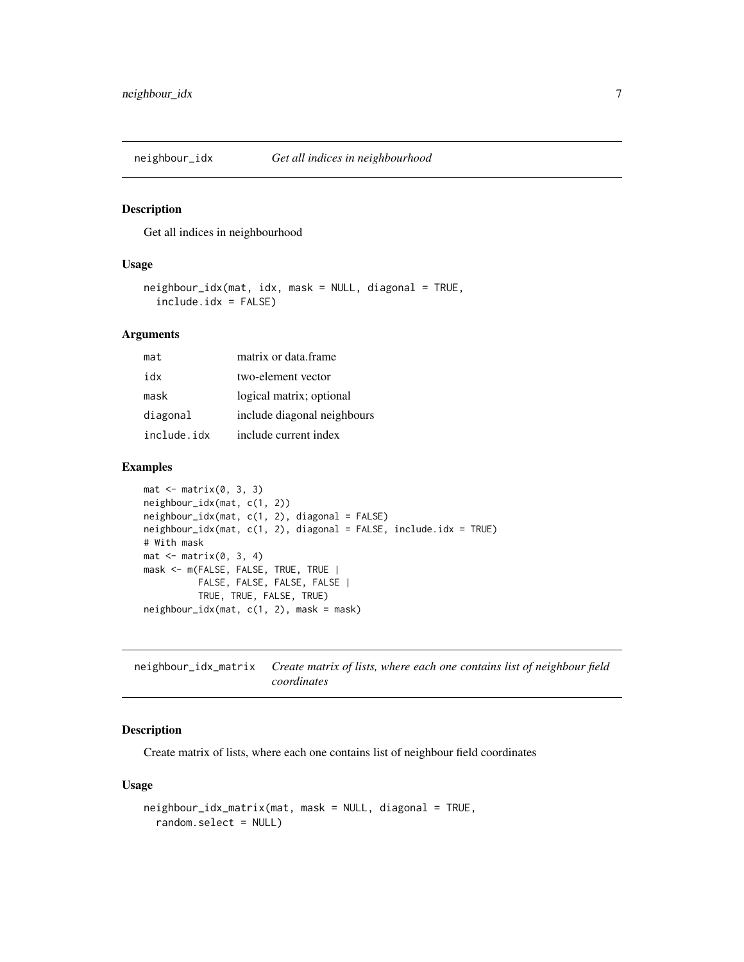<span id="page-6-0"></span>

Get all indices in neighbourhood

#### Usage

```
neighbour_idx(mat, idx, mask = NULL, diagonal = TRUE,
  include.idx = FALSE)
```
#### Arguments

| mat         | matrix or data frame        |
|-------------|-----------------------------|
| xhi         | two-element vector          |
| mask        | logical matrix; optional    |
| diagonal    | include diagonal neighbours |
| include.idx | include current index       |

#### Examples

```
mat < -matrix(0, 3, 3)neighbour_idx(mat, c(1, 2))
neighbour_idx(mat, c(1, 2), diagonal = FALSE)
neighbour_idx(mat, c(1, 2), diagonal = FALSE, include.idx = TRUE)
# With mask
mat < -matrix(0, 3, 4)mask <- m(FALSE, FALSE, TRUE, TRUE |
         FALSE, FALSE, FALSE, FALSE |
          TRUE, TRUE, FALSE, TRUE)
neighbour_idx(mat, c(1, 2), mask = mask)
```
neighbour\_idx\_matrix *Create matrix of lists, where each one contains list of neighbour field coordinates*

#### Description

Create matrix of lists, where each one contains list of neighbour field coordinates

#### Usage

```
neighbour_idx_matrix(mat, mask = NULL, diagonal = TRUE,
  random.select = NULL)
```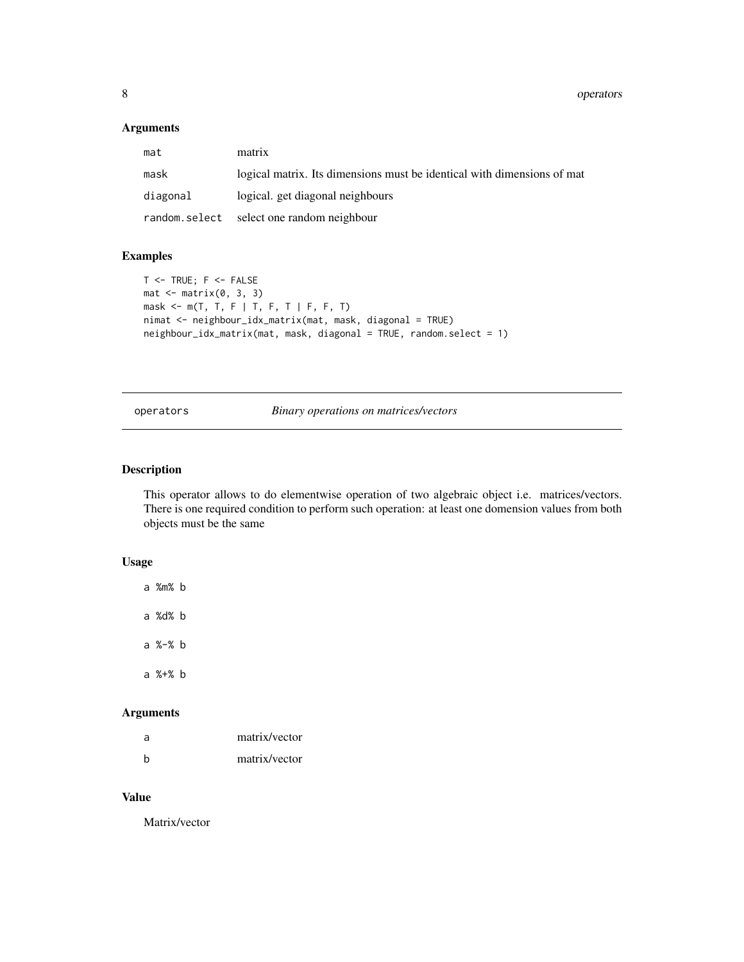#### <span id="page-7-0"></span>Arguments

| mat      | matrix                                                                  |
|----------|-------------------------------------------------------------------------|
| mask     | logical matrix. Its dimensions must be identical with dimensions of mat |
| diagonal | logical, get diagonal neighbours                                        |
|          | random.select select one random neighbour                               |

#### Examples

```
T <- TRUE; F <- FALSEmat < -matrix(0, 3, 3)mask <- m(T, T, F | T, F, T | F, F, T)
nimat <- neighbour_idx_matrix(mat, mask, diagonal = TRUE)
neighbour_idx_matrix(mat, mask, diagonal = TRUE, random.select = 1)
```
#### operators *Binary operations on matrices/vectors*

#### Description

This operator allows to do elementwise operation of two algebraic object i.e. matrices/vectors. There is one required condition to perform such operation: at least one domension values from both objects must be the same

#### Usage

a %m% b a %d% b

a %-% b a %+% b

#### Arguments

| a | matrix/vector |
|---|---------------|
| h | matrix/vector |

#### Value

Matrix/vector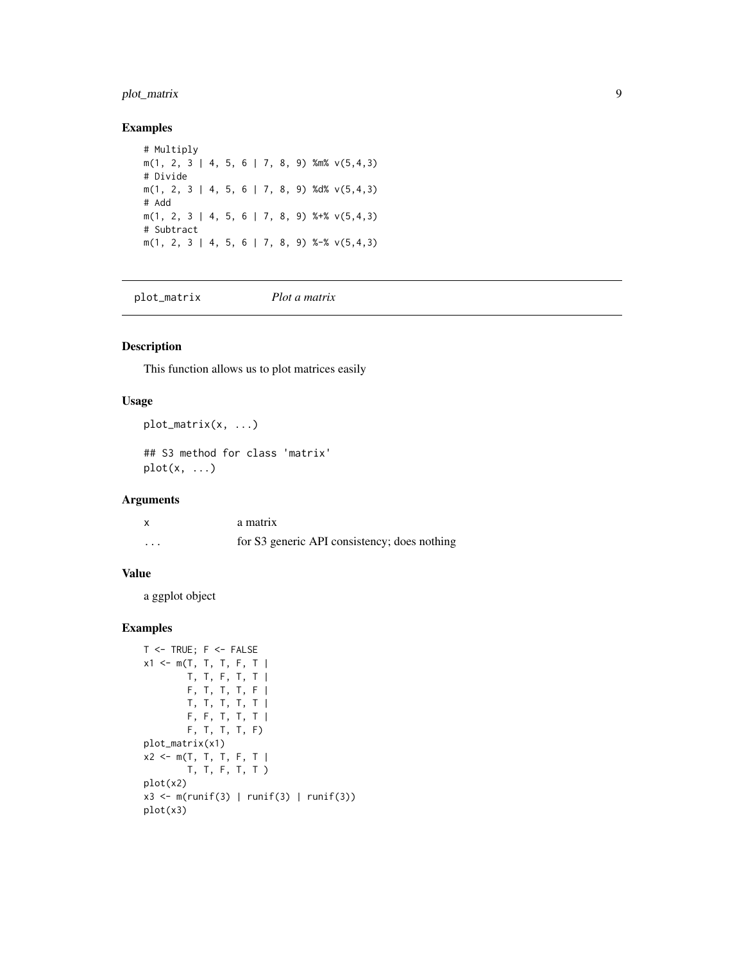### <span id="page-8-0"></span>plot\_matrix 9

#### Examples

```
# Multiply
m(1, 2, 3 | 4, 5, 6 | 7, 8, 9) %m% v(5,4,3)
# Divide
m(1, 2, 3 | 4, 5, 6 | 7, 8, 9) %d% v(5,4,3)# Add
m(1, 2, 3 | 4, 5, 6 | 7, 8, 9) %+% v(5,4,3)# Subtract
m(1, 2, 3 | 4, 5, 6 | 7, 8, 9) %-% v(5, 4, 3)
```
plot\_matrix *Plot a matrix*

#### Description

This function allows us to plot matrices easily

#### Usage

```
plot_matrix(x, ...)
## S3 method for class 'matrix'
plot(x, \ldots)
```
#### Arguments

|                   | a matrix                                     |
|-------------------|----------------------------------------------|
| $\cdot\cdot\cdot$ | for S3 generic API consistency; does nothing |

#### Value

a ggplot object

#### Examples

```
T <- TRUE; F <- FALSEx1 \le m(T, T, T, F, T)T, T, F, T, T |
       F, T, T, T, F |
       T, T, T, T, T |
       F, F, T, T, T |
       F, T, T, T, F)
plot_matrix(x1)
x2 <- m(T, T, T, F, T |
       T, T, F, T, T )
plot(x2)
x3 <- m(runif(3) | runif(3) | runif(3))
plot(x3)
```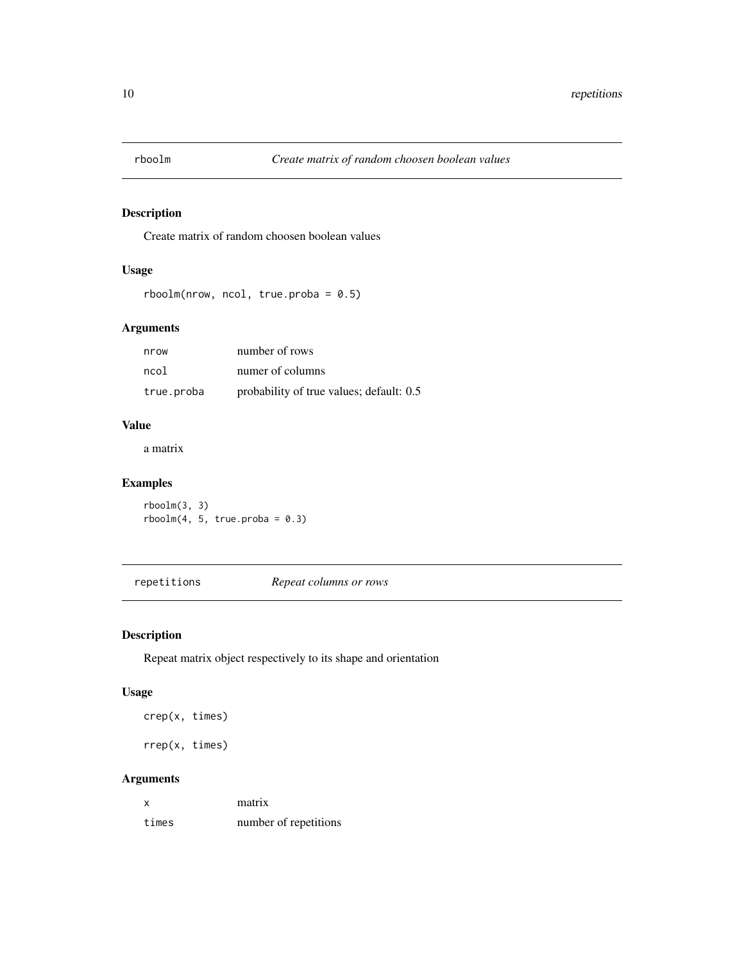<span id="page-9-0"></span>

Create matrix of random choosen boolean values

#### Usage

```
rboolm(nrow, ncol, true. proba = 0.5)
```
#### Arguments

| nrow       | number of rows                           |
|------------|------------------------------------------|
| ncol       | numer of columns                         |
| true.proba | probability of true values; default: 0.5 |

#### Value

a matrix

### Examples

rboolm(3, 3)  $rboolm(4, 5, true. proba = 0.3)$ 

repetitions *Repeat columns or rows*

### Description

Repeat matrix object respectively to its shape and orientation

#### Usage

crep(x, times)

rrep(x, times)

### Arguments

| x     | matrix                |
|-------|-----------------------|
| times | number of repetitions |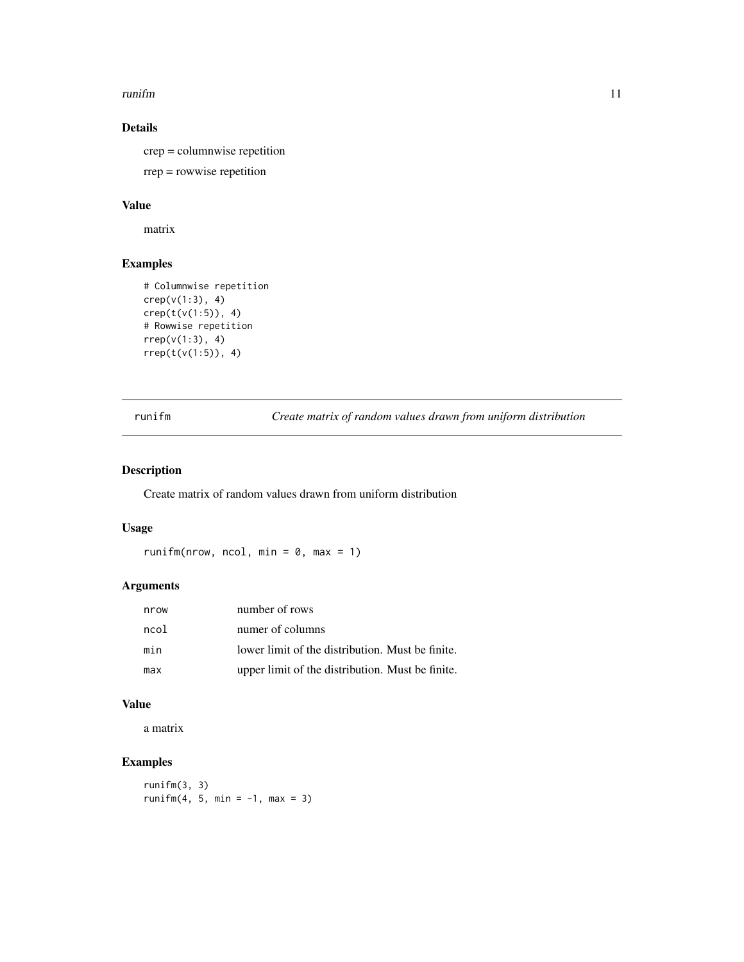#### <span id="page-10-0"></span>runifm **11**

### Details

crep = columnwise repetition rrep = rowwise repetition

#### Value

matrix

#### Examples

```
# Columnwise repetition
crep(v(1:3), 4)
crep(t(v(1:5)), 4)
# Rowwise repetition
rrep(v(1:3), 4)
rrep(t(v(1:5)), 4)
```
runifm *Create matrix of random values drawn from uniform distribution*

#### Description

Create matrix of random values drawn from uniform distribution

#### Usage

runifm(nrow, ncol, min =  $0$ , max = 1)

#### Arguments

| nrow | number of rows                                   |
|------|--------------------------------------------------|
| ncol | numer of columns                                 |
| min  | lower limit of the distribution. Must be finite. |
| max  | upper limit of the distribution. Must be finite. |

#### Value

a matrix

### Examples

runifm(3, 3) runifm $(4, 5, min = -1, max = 3)$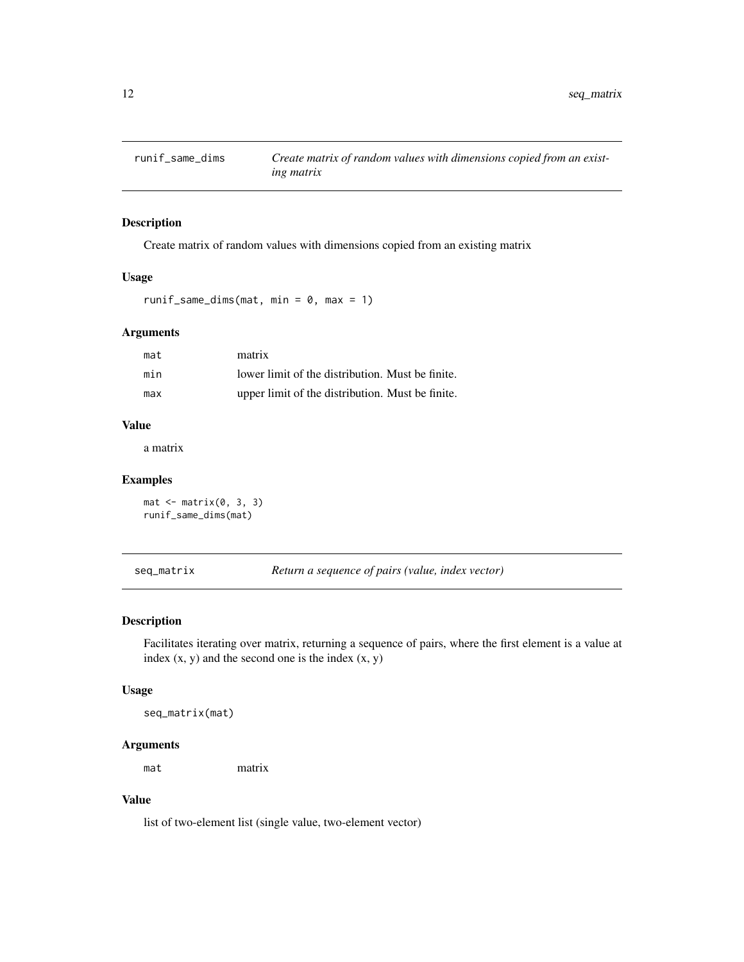<span id="page-11-0"></span>

Create matrix of random values with dimensions copied from an existing matrix

#### Usage

```
runif_same_dims(mat, min = 0, max = 1)
```
#### Arguments

| mat | matrix                                           |
|-----|--------------------------------------------------|
| min | lower limit of the distribution. Must be finite. |
| max | upper limit of the distribution. Must be finite. |

#### Value

a matrix

#### Examples

```
mat < -matrix(0, 3, 3)runif_same_dims(mat)
```
seq\_matrix *Return a sequence of pairs (value, index vector)*

### Description

Facilitates iterating over matrix, returning a sequence of pairs, where the first element is a value at index  $(x, y)$  and the second one is the index  $(x, y)$ 

#### Usage

seq\_matrix(mat)

#### Arguments

mat matrix

#### Value

list of two-element list (single value, two-element vector)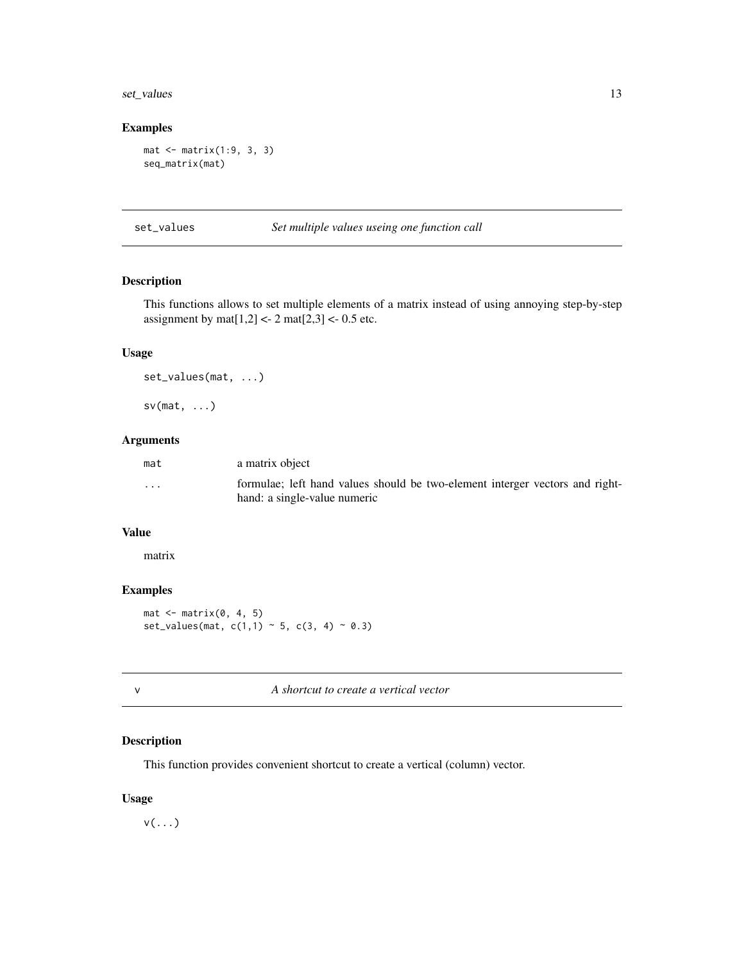#### <span id="page-12-0"></span>set\_values 13

#### Examples

```
mat <- matrix(1:9, 3, 3)
seq_matrix(mat)
```
set\_values *Set multiple values useing one function call*

#### Description

This functions allows to set multiple elements of a matrix instead of using annoying step-by-step assignment by mat $[1,2] < -2$  mat $[2,3] < -0.5$  etc.

#### Usage

set\_values(mat, ...)

 $sv(mat, \ldots)$ 

#### Arguments

| mat                     | a matrix object                                                                                              |
|-------------------------|--------------------------------------------------------------------------------------------------------------|
| $\cdot$ $\cdot$ $\cdot$ | formulae; left hand values should be two-element interger vectors and right-<br>hand: a single-value numeric |

#### Value

matrix

#### Examples

 $mat < -matrix(0, 4, 5)$ set\_values(mat,  $c(1,1) \sim 5$ ,  $c(3, 4) \sim 0.3$ )

#### Description

This function provides convenient shortcut to create a vertical (column) vector.

#### Usage

 $v(\ldots)$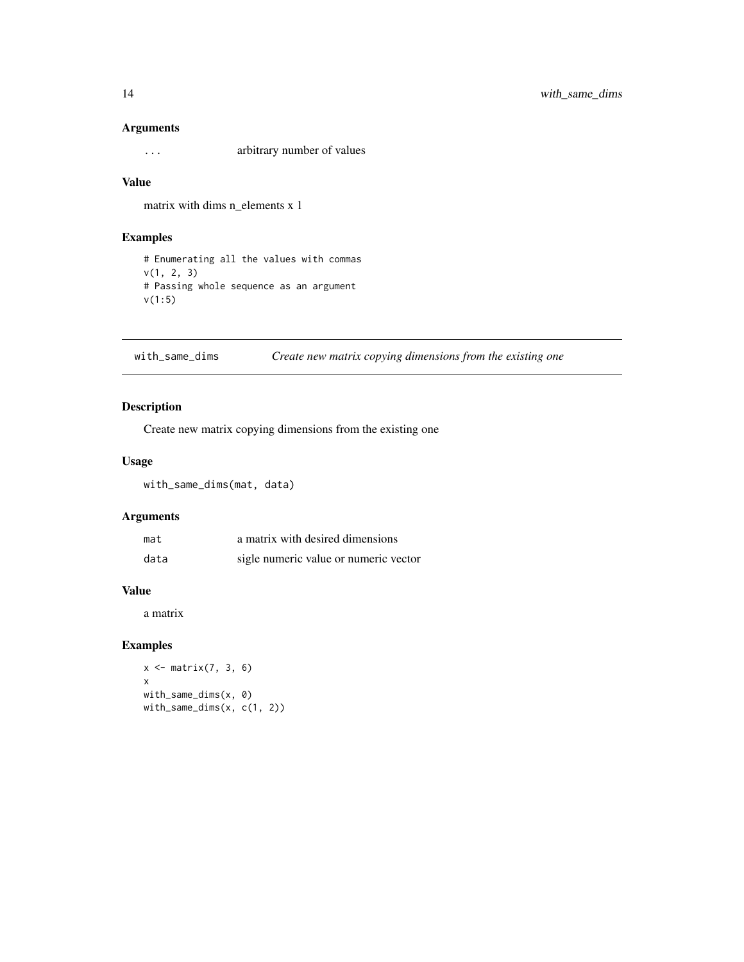#### <span id="page-13-0"></span>Arguments

... arbitrary number of values

#### Value

matrix with dims n\_elements x 1

#### Examples

# Enumerating all the values with commas v(1, 2, 3) # Passing whole sequence as an argument v(1:5)

with\_same\_dims *Create new matrix copying dimensions from the existing one*

#### Description

Create new matrix copying dimensions from the existing one

#### Usage

with\_same\_dims(mat, data)

#### Arguments

| mat  | a matrix with desired dimensions      |
|------|---------------------------------------|
| data | sigle numeric value or numeric vector |

#### Value

a matrix

#### Examples

```
x \leftarrow \text{matrix}(7, 3, 6)x
with_same_dims(x, 0)
with_same_dims(x, c(1, 2))
```